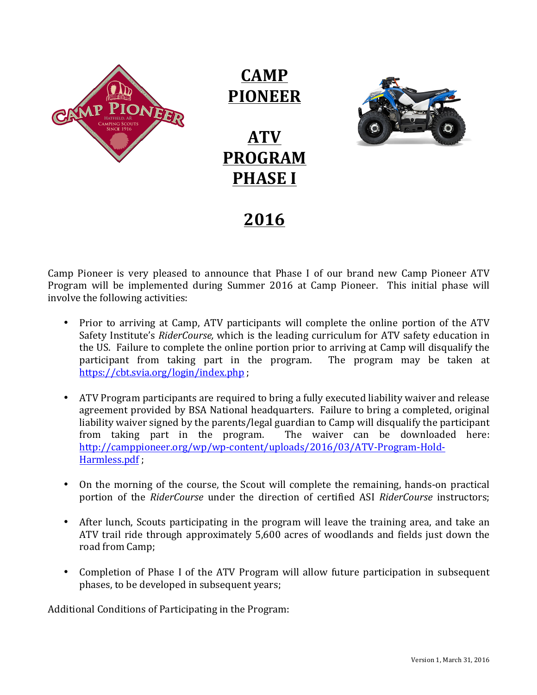

**CAMP PIONEER** 

## **ATV PROGRAM PHASE I**



**2016**

Camp Pioneer is very pleased to announce that Phase I of our brand new Camp Pioneer ATV Program will be implemented during Summer 2016 at Camp Pioneer. This initial phase will involve the following activities:

- Prior to arriving at Camp, ATV participants will complete the online portion of the ATV Safety Institute's *RiderCourse*, which is the leading curriculum for ATV safety education in the US. Failure to complete the online portion prior to arriving at Camp will disqualify the participant from taking part in the program. The program may be taken at https://cbt.svia.org/login/index.php ;
- ATV Program participants are required to bring a fully executed liability waiver and release agreement provided by BSA National headquarters. Failure to bring a completed, original liability waiver signed by the parents/legal guardian to Camp will disqualify the participant from taking part in the program. The waiver can be downloaded here: http://camppioneer.org/wp/wp-content/uploads/2016/03/ATV-Program-Hold-Harmless.pdf ;
- On the morning of the course, the Scout will complete the remaining, hands-on practical portion of the *RiderCourse* under the direction of certified ASI *RiderCourse* instructors;
- After lunch, Scouts participating in the program will leave the training area, and take an ATV trail ride through approximately 5,600 acres of woodlands and fields just down the road from Camp;
- Completion of Phase I of the ATV Program will allow future participation in subsequent phases, to be developed in subsequent years;

Additional Conditions of Participating in the Program: